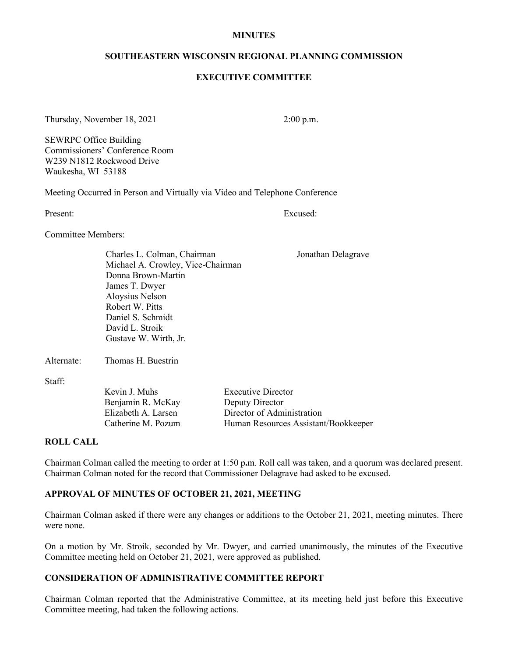#### **MINUTES**

#### **SOUTHEASTERN WISCONSIN REGIONAL PLANNING COMMISSION**

#### **EXECUTIVE COMMITTEE**

Thursday, November 18, 2021 2:00 p.m.

SEWRPC Office Building Commissioners' Conference Room W239 N1812 Rockwood Drive Waukesha, WI 53188

Meeting Occurred in Person and Virtually via Video and Telephone Conference

Present: Excused:

Committee Members:

Charles L. Colman, Chairman Jonathan Delagrave Michael A. Crowley, Vice-Chairman Donna Brown-Martin James T. Dwyer Aloysius Nelson Robert W. Pitts Daniel S. Schmidt David L. Stroik Gustave W. Wirth, Jr.

Alternate: Thomas H. Buestrin

Staff:

Kevin J. Muhs Executive Director Benjamin R. McKay Deputy Director

Elizabeth A. Larsen Director of Administration Catherine M. Pozum Human Resources Assistant/Bookkeeper

#### **ROLL CALL**

Chairman Colman called the meeting to order at 1:50 p**.**m. Roll call was taken, and a quorum was declared present. Chairman Colman noted for the record that Commissioner Delagrave had asked to be excused.

# **APPROVAL OF MINUTES OF OCTOBER 21, 2021, MEETING**

Chairman Colman asked if there were any changes or additions to the October 21, 2021, meeting minutes. There were none.

On a motion by Mr. Stroik, seconded by Mr. Dwyer, and carried unanimously, the minutes of the Executive Committee meeting held on October 21, 2021, were approved as published.

#### **CONSIDERATION OF ADMINISTRATIVE COMMITTEE REPORT**

Chairman Colman reported that the Administrative Committee, at its meeting held just before this Executive Committee meeting, had taken the following actions.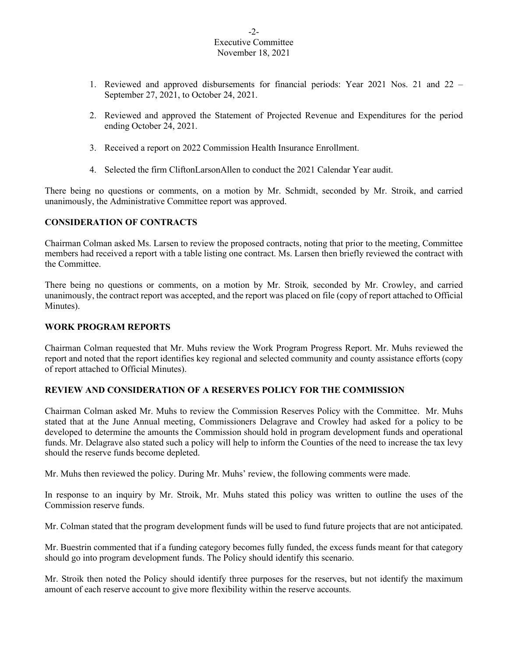### $-2-$ Executive Committee November 18, 2021

- 1. Reviewed and approved disbursements for financial periods: Year 2021 Nos. 21 and 22 September 27, 2021, to October 24, 2021.
- 2. Reviewed and approved the Statement of Projected Revenue and Expenditures for the period ending October 24, 2021.
- 3. Received a report on 2022 Commission Health Insurance Enrollment.
- 4. Selected the firm CliftonLarsonAllen to conduct the 2021 Calendar Year audit.

There being no questions or comments, on a motion by Mr. Schmidt, seconded by Mr. Stroik, and carried unanimously, the Administrative Committee report was approved.

# **CONSIDERATION OF CONTRACTS**

Chairman Colman asked Ms. Larsen to review the proposed contracts, noting that prior to the meeting, Committee members had received a report with a table listing one contract. Ms. Larsen then briefly reviewed the contract with the Committee.

There being no questions or comments, on a motion by Mr. Stroik*,* seconded by Mr. Crowley, and carried unanimously, the contract report was accepted, and the report was placed on file (copy of report attached to Official Minutes).

### **WORK PROGRAM REPORTS**

Chairman Colman requested that Mr. Muhs review the Work Program Progress Report. Mr. Muhs reviewed the report and noted that the report identifies key regional and selected community and county assistance efforts (copy of report attached to Official Minutes).

# **REVIEW AND CONSIDERATION OF A RESERVES POLICY FOR THE COMMISSION**

Chairman Colman asked Mr. Muhs to review the Commission Reserves Policy with the Committee. Mr. Muhs stated that at the June Annual meeting, Commissioners Delagrave and Crowley had asked for a policy to be developed to determine the amounts the Commission should hold in program development funds and operational funds. Mr. Delagrave also stated such a policy will help to inform the Counties of the need to increase the tax levy should the reserve funds become depleted.

Mr. Muhs then reviewed the policy. During Mr. Muhs' review, the following comments were made.

In response to an inquiry by Mr. Stroik, Mr. Muhs stated this policy was written to outline the uses of the Commission reserve funds.

Mr. Colman stated that the program development funds will be used to fund future projects that are not anticipated.

Mr. Buestrin commented that if a funding category becomes fully funded, the excess funds meant for that category should go into program development funds. The Policy should identify this scenario.

Mr. Stroik then noted the Policy should identify three purposes for the reserves, but not identify the maximum amount of each reserve account to give more flexibility within the reserve accounts.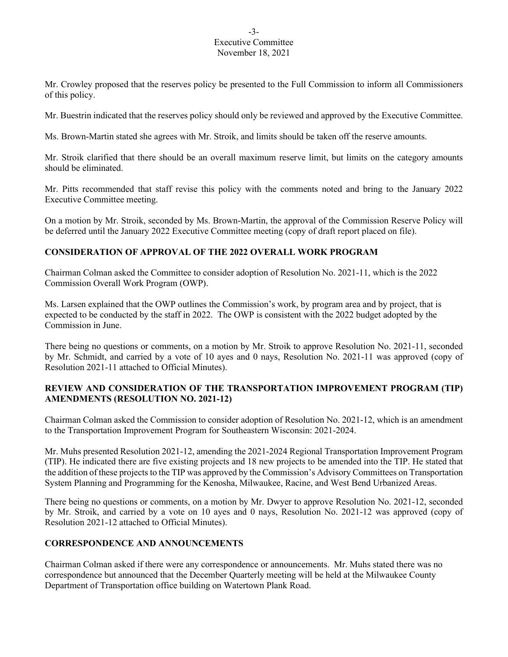### -3- Executive Committee November 18, 2021

Mr. Crowley proposed that the reserves policy be presented to the Full Commission to inform all Commissioners of this policy.

Mr. Buestrin indicated that the reserves policy should only be reviewed and approved by the Executive Committee.

Ms. Brown-Martin stated she agrees with Mr. Stroik, and limits should be taken off the reserve amounts.

Mr. Stroik clarified that there should be an overall maximum reserve limit, but limits on the category amounts should be eliminated.

Mr. Pitts recommended that staff revise this policy with the comments noted and bring to the January 2022 Executive Committee meeting.

On a motion by Mr. Stroik, seconded by Ms. Brown-Martin, the approval of the Commission Reserve Policy will be deferred until the January 2022 Executive Committee meeting (copy of draft report placed on file).

# **CONSIDERATION OF APPROVAL OF THE 2022 OVERALL WORK PROGRAM**

Chairman Colman asked the Committee to consider adoption of Resolution No. 2021-11, which is the 2022 Commission Overall Work Program (OWP).

Ms. Larsen explained that the OWP outlines the Commission's work, by program area and by project, that is expected to be conducted by the staff in 2022. The OWP is consistent with the 2022 budget adopted by the Commission in June.

There being no questions or comments, on a motion by Mr. Stroik to approve Resolution No. 2021-11, seconded by Mr. Schmidt, and carried by a vote of 10 ayes and 0 nays, Resolution No. 2021-11 was approved (copy of Resolution 2021-11 attached to Official Minutes).

# **REVIEW AND CONSIDERATION OF THE TRANSPORTATION IMPROVEMENT PROGRAM (TIP) AMENDMENTS (RESOLUTION NO. 2021-12)**

Chairman Colman asked the Commission to consider adoption of Resolution No. 2021-12, which is an amendment to the Transportation Improvement Program for Southeastern Wisconsin: 2021-2024.

Mr. Muhs presented Resolution 2021-12, amending the 2021-2024 Regional Transportation Improvement Program (TIP). He indicated there are five existing projects and 18 new projects to be amended into the TIP. He stated that the addition of these projects to the TIP was approved by the Commission's Advisory Committees on Transportation System Planning and Programming for the Kenosha, Milwaukee, Racine, and West Bend Urbanized Areas.

There being no questions or comments, on a motion by Mr. Dwyer to approve Resolution No. 2021-12, seconded by Mr. Stroik, and carried by a vote on 10 ayes and 0 nays, Resolution No. 2021-12 was approved (copy of Resolution 2021-12 attached to Official Minutes).

# **CORRESPONDENCE AND ANNOUNCEMENTS**

Chairman Colman asked if there were any correspondence or announcements. Mr. Muhs stated there was no correspondence but announced that the December Quarterly meeting will be held at the Milwaukee County Department of Transportation office building on Watertown Plank Road.